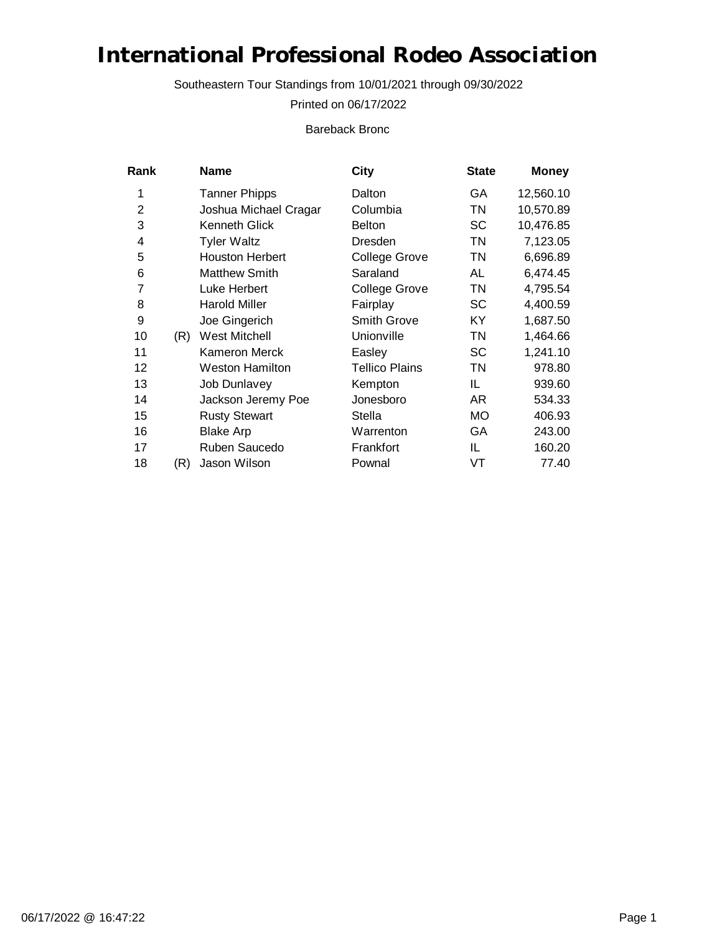Southeastern Tour Standings from 10/01/2021 through 09/30/2022

Printed on 06/17/2022

Bareback Bronc

| Rank           |     | Name                   | City                  | <b>State</b> | <b>Money</b> |
|----------------|-----|------------------------|-----------------------|--------------|--------------|
| 1              |     | <b>Tanner Phipps</b>   | Dalton                | GA           | 12,560.10    |
| $\overline{2}$ |     | Joshua Michael Cragar  | Columbia              | <b>TN</b>    | 10,570.89    |
| 3              |     | Kenneth Glick          | <b>Belton</b>         | <b>SC</b>    | 10,476.85    |
| 4              |     | <b>Tyler Waltz</b>     | Dresden               | <b>TN</b>    | 7,123.05     |
| 5              |     | <b>Houston Herbert</b> | <b>College Grove</b>  | <b>TN</b>    | 6,696.89     |
| 6              |     | <b>Matthew Smith</b>   | Saraland              | AL           | 6,474.45     |
| 7              |     | Luke Herbert           | <b>College Grove</b>  | TN           | 4,795.54     |
| 8              |     | <b>Harold Miller</b>   | Fairplay              | <b>SC</b>    | 4,400.59     |
| 9              |     | Joe Gingerich          | <b>Smith Grove</b>    | ΚY           | 1,687.50     |
| 10             | (R) | <b>West Mitchell</b>   | Unionville            | <b>TN</b>    | 1,464.66     |
| 11             |     | Kameron Merck          | Easley                | <b>SC</b>    | 1,241.10     |
| 12             |     | <b>Weston Hamilton</b> | <b>Tellico Plains</b> | TN           | 978.80       |
| 13             |     | Job Dunlavey           | Kempton               | IL           | 939.60       |
| 14             |     | Jackson Jeremy Poe     | Jonesboro             | AR.          | 534.33       |
| 15             |     | <b>Rusty Stewart</b>   | <b>Stella</b>         | МO           | 406.93       |
| 16             |     | <b>Blake Arp</b>       | Warrenton             | GA           | 243.00       |
| 17             |     | Ruben Saucedo          | Frankfort             | IL           | 160.20       |
| 18             | (R) | Jason Wilson           | Pownal                | VT           | 77.40        |
|                |     |                        |                       |              |              |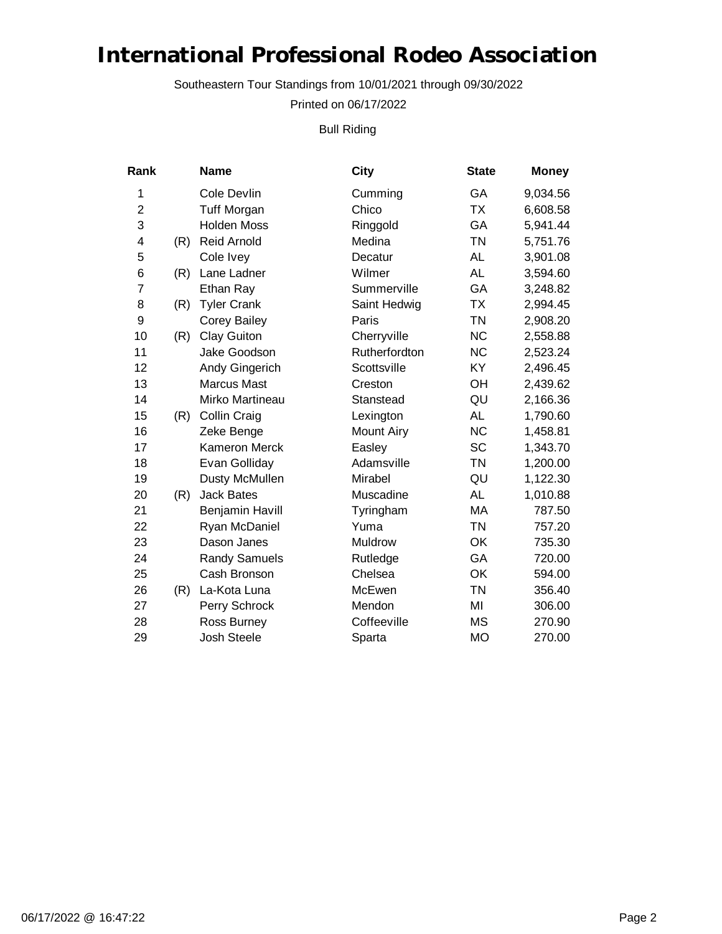Southeastern Tour Standings from 10/01/2021 through 09/30/2022

Printed on 06/17/2022

Bull Riding

| Rank                    |     | <b>Name</b>            | City              | <b>State</b> | <b>Money</b> |
|-------------------------|-----|------------------------|-------------------|--------------|--------------|
| 1                       |     | Cole Devlin            | Cumming           | GA           | 9,034.56     |
| $\overline{\mathbf{c}}$ |     | <b>Tuff Morgan</b>     | Chico             | <b>TX</b>    | 6,608.58     |
| 3                       |     | <b>Holden Moss</b>     | Ringgold          | GA           | 5,941.44     |
| 4                       | (R) | <b>Reid Arnold</b>     | Medina            | <b>TN</b>    | 5,751.76     |
| 5                       |     | Cole Ivey              | Decatur           | <b>AL</b>    | 3,901.08     |
| 6                       | (R) | Lane Ladner            | Wilmer            | <b>AL</b>    | 3,594.60     |
| 7                       |     | Ethan Ray              | Summerville       | GA           | 3,248.82     |
| 8                       | (R) | <b>Tyler Crank</b>     | Saint Hedwig      | <b>TX</b>    | 2,994.45     |
| 9                       |     | <b>Corey Bailey</b>    | Paris             | <b>TN</b>    | 2,908.20     |
| 10                      | (R) | <b>Clay Guiton</b>     | Cherryville       | <b>NC</b>    | 2,558.88     |
| 11                      |     | Jake Goodson           | Rutherfordton     | <b>NC</b>    | 2,523.24     |
| 12                      |     | Andy Gingerich         | Scottsville       | KY           | 2,496.45     |
| 13                      |     | <b>Marcus Mast</b>     | Creston           | OH           | 2,439.62     |
| 14                      |     | Mirko Martineau        | Stanstead         | QU           | 2,166.36     |
| 15                      | (R) | Collin Craig           | Lexington         | <b>AL</b>    | 1,790.60     |
| 16                      |     | Zeke Benge             | <b>Mount Airy</b> | <b>NC</b>    | 1,458.81     |
| 17                      |     | <b>Kameron Merck</b>   | Easley            | <b>SC</b>    | 1,343.70     |
| 18                      |     | Evan Golliday          | Adamsville        | <b>TN</b>    | 1,200.00     |
| 19                      |     | Dusty McMullen         | Mirabel           | QU           | 1,122.30     |
| 20                      | (R) | <b>Jack Bates</b>      | Muscadine         | <b>AL</b>    | 1,010.88     |
| 21                      |     | <b>Benjamin Havill</b> | Tyringham         | MA           | 787.50       |
| 22                      |     | Ryan McDaniel          | Yuma              | <b>TN</b>    | 757.20       |
| 23                      |     | Dason Janes            | Muldrow           | OK           | 735.30       |
| 24                      |     | <b>Randy Samuels</b>   | Rutledge          | GA           | 720.00       |
| 25                      |     | Cash Bronson           | Chelsea           | OK           | 594.00       |
| 26                      | (R) | La-Kota Luna           | McEwen            | <b>TN</b>    | 356.40       |
| 27                      |     | Perry Schrock          | Mendon            | MI           | 306.00       |
| 28                      |     | Ross Burney            | Coffeeville       | <b>MS</b>    | 270.90       |
| 29                      |     | <b>Josh Steele</b>     | Sparta            | <b>MO</b>    | 270.00       |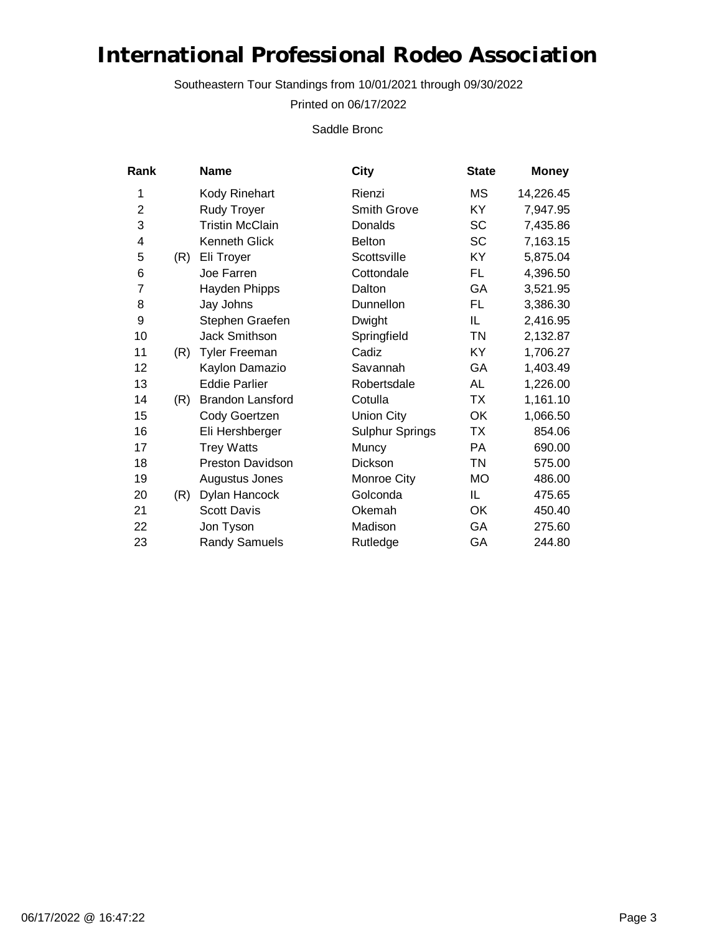Southeastern Tour Standings from 10/01/2021 through 09/30/2022

Printed on 06/17/2022

Saddle Bronc

| Rank           |     | Name                    | City                   | <b>State</b> | <b>Money</b> |
|----------------|-----|-------------------------|------------------------|--------------|--------------|
| 1              |     | Kody Rinehart           | Rienzi                 | МS           | 14,226.45    |
| $\overline{2}$ |     | <b>Rudy Troyer</b>      | Smith Grove            | KY           | 7,947.95     |
| 3              |     | <b>Tristin McClain</b>  | Donalds                | SC           | 7,435.86     |
| 4              |     | Kenneth Glick           | <b>Belton</b>          | SC           | 7,163.15     |
| 5              | (R) | Eli Troyer              | Scottsville            | KY           | 5,875.04     |
| 6              |     | Joe Farren              | Cottondale             | FL.          | 4,396.50     |
| 7              |     | Hayden Phipps           | Dalton                 | GA           | 3,521.95     |
| 8              |     | Jay Johns               | Dunnellon              | FL.          | 3,386.30     |
| 9              |     | Stephen Graefen         | Dwight                 | IL.          | 2,416.95     |
| 10             |     | Jack Smithson           | Springfield            | <b>TN</b>    | 2,132.87     |
| 11             | (R) | <b>Tyler Freeman</b>    | Cadiz                  | KY           | 1,706.27     |
| 12             |     | Kaylon Damazio          | Savannah               | GA           | 1,403.49     |
| 13             |     | <b>Eddie Parlier</b>    | Robertsdale            | AL           | 1,226.00     |
| 14             | (R) | Brandon Lansford        | Cotulla                | <b>TX</b>    | 1,161.10     |
| 15             |     | Cody Goertzen           | Union City             | OK           | 1,066.50     |
| 16             |     | Eli Hershberger         | <b>Sulphur Springs</b> | <b>TX</b>    | 854.06       |
| 17             |     | <b>Trey Watts</b>       | Muncy                  | PA           | 690.00       |
| 18             |     | <b>Preston Davidson</b> | Dickson                | <b>TN</b>    | 575.00       |
| 19             |     | Augustus Jones          | Monroe City            | <b>MO</b>    | 486.00       |
| 20             | (R) | Dylan Hancock           | Golconda               | IL.          | 475.65       |
| 21             |     | <b>Scott Davis</b>      | Okemah                 | OK           | 450.40       |
| 22             |     | Jon Tyson               | Madison                | GA           | 275.60       |
| 23             |     | <b>Randy Samuels</b>    | Rutledge               | GA           | 244.80       |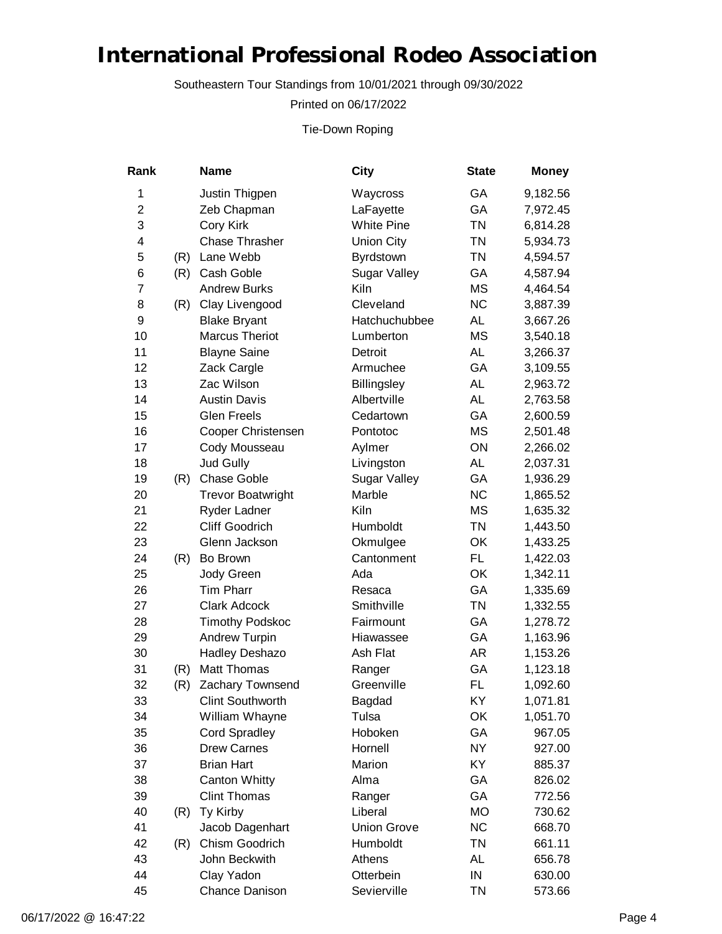Southeastern Tour Standings from 10/01/2021 through 09/30/2022

Printed on 06/17/2022

Tie-Down Roping

| Rank           |     | <b>Name</b>              | City                | <b>State</b> | <b>Money</b> |
|----------------|-----|--------------------------|---------------------|--------------|--------------|
| 1              |     | Justin Thigpen           | Waycross            | GA           | 9,182.56     |
| $\overline{2}$ |     | Zeb Chapman              | LaFayette           | GA           | 7,972.45     |
| 3              |     | Cory Kirk                | <b>White Pine</b>   | <b>TN</b>    | 6,814.28     |
| 4              |     | <b>Chase Thrasher</b>    | <b>Union City</b>   | <b>TN</b>    | 5,934.73     |
| 5              | (R) | Lane Webb                | Byrdstown           | <b>TN</b>    | 4,594.57     |
| 6              | (R) | Cash Goble               | Sugar Valley        | GA           | 4,587.94     |
| $\overline{7}$ |     | <b>Andrew Burks</b>      | Kiln                | <b>MS</b>    | 4,464.54     |
| 8              | (R) | Clay Livengood           | Cleveland           | <b>NC</b>    | 3,887.39     |
| 9              |     | <b>Blake Bryant</b>      | Hatchuchubbee       | <b>AL</b>    | 3,667.26     |
| 10             |     | <b>Marcus Theriot</b>    | Lumberton           | <b>MS</b>    | 3,540.18     |
| 11             |     | <b>Blayne Saine</b>      | Detroit             | AL           | 3,266.37     |
| 12             |     | Zack Cargle              | Armuchee            | GA           | 3,109.55     |
| 13             |     | Zac Wilson               | Billingsley         | <b>AL</b>    | 2,963.72     |
| 14             |     | <b>Austin Davis</b>      | Albertville         | AL           | 2,763.58     |
| 15             |     | <b>Glen Freels</b>       | Cedartown           | GA           | 2,600.59     |
| 16             |     | Cooper Christensen       | Pontotoc            | <b>MS</b>    | 2,501.48     |
| 17             |     | Cody Mousseau            | Aylmer              | ON           | 2,266.02     |
| 18             |     | Jud Gully                | Livingston          | AL           | 2,037.31     |
| 19             | (R) | <b>Chase Goble</b>       | <b>Sugar Valley</b> | GA           | 1,936.29     |
| 20             |     | <b>Trevor Boatwright</b> | Marble              | <b>NC</b>    | 1,865.52     |
| 21             |     | Ryder Ladner             | Kiln                | <b>MS</b>    | 1,635.32     |
| 22             |     | <b>Cliff Goodrich</b>    | Humboldt            | <b>TN</b>    | 1,443.50     |
| 23             |     | Glenn Jackson            | Okmulgee            | OK           | 1,433.25     |
| 24             | (R) | Bo Brown                 | Cantonment          | FL.          | 1,422.03     |
| 25             |     | Jody Green               | Ada                 | OK           | 1,342.11     |
| 26             |     | <b>Tim Pharr</b>         | Resaca              | GA           | 1,335.69     |
| 27             |     | <b>Clark Adcock</b>      | Smithville          | <b>TN</b>    | 1,332.55     |
| 28             |     | <b>Timothy Podskoc</b>   | Fairmount           | GA           | 1,278.72     |
| 29             |     | <b>Andrew Turpin</b>     | Hiawassee           | GA           | 1,163.96     |
| 30             |     | <b>Hadley Deshazo</b>    | Ash Flat            | AR           | 1,153.26     |
| 31             | (R) | Matt Thomas              | Ranger              | GA           | 1,123.18     |
| 32             | (R) | Zachary Townsend         | Greenville          | FL           | 1,092.60     |
| 33             |     | <b>Clint Southworth</b>  | Bagdad              | KY           | 1,071.81     |
| 34             |     | William Whayne           | Tulsa               | OK           | 1,051.70     |
| 35             |     | <b>Cord Spradley</b>     | Hoboken             | GA           | 967.05       |
| 36             |     | <b>Drew Carnes</b>       | Hornell             | <b>NY</b>    | 927.00       |
| 37             |     | <b>Brian Hart</b>        | Marion              | KY           | 885.37       |
| 38             |     | <b>Canton Whitty</b>     | Alma                | GA           | 826.02       |
| 39             |     | <b>Clint Thomas</b>      | Ranger              | GA           | 772.56       |
| 40             | (R) | Ty Kirby                 | Liberal             | <b>MO</b>    | 730.62       |
| 41             |     | Jacob Dagenhart          | <b>Union Grove</b>  | <b>NC</b>    | 668.70       |
| 42             | (R) | Chism Goodrich           | Humboldt            | <b>TN</b>    | 661.11       |
| 43             |     | John Beckwith            | Athens              | AL           | 656.78       |
| 44             |     | Clay Yadon               | Otterbein           | IN           | 630.00       |
| 45             |     | Chance Danison           | Sevierville         | <b>TN</b>    | 573.66       |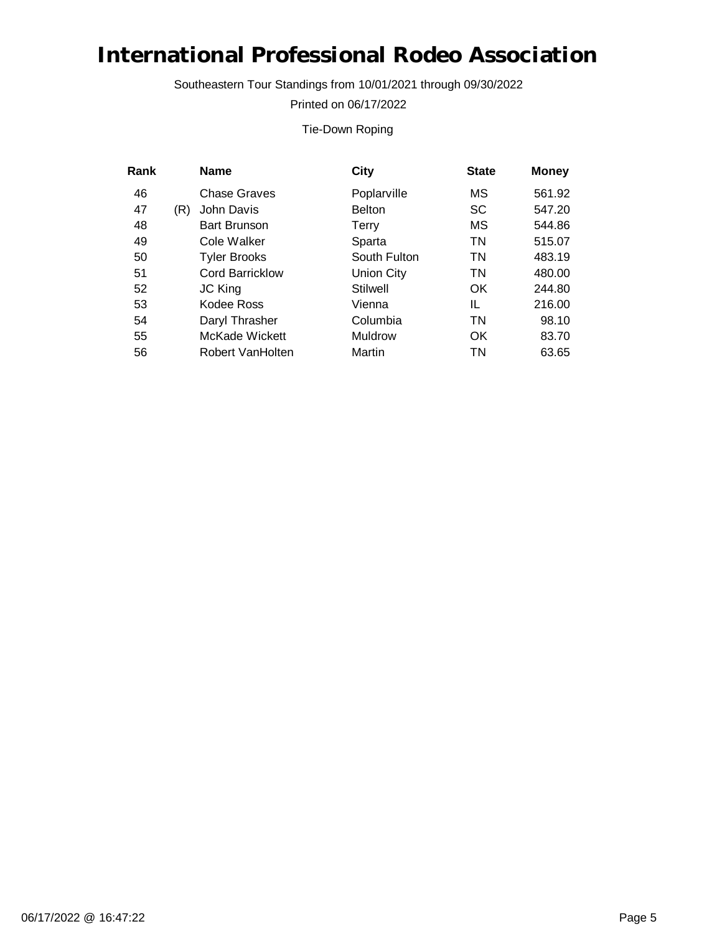Southeastern Tour Standings from 10/01/2021 through 09/30/2022

Printed on 06/17/2022

#### Tie-Down Roping

| Rank |     | <b>Name</b>            | City              | <b>State</b> | <b>Money</b> |
|------|-----|------------------------|-------------------|--------------|--------------|
| 46   |     | Chase Graves           | Poplarville       | МS           | 561.92       |
| 47   | (R) | John Davis             | <b>Belton</b>     | SC           | 547.20       |
| 48   |     | <b>Bart Brunson</b>    | Terry             | МS           | 544.86       |
| 49   |     | Cole Walker            | Sparta            | ΤN           | 515.07       |
| 50   |     | <b>Tyler Brooks</b>    | South Fulton      | ΤN           | 483.19       |
| 51   |     | <b>Cord Barricklow</b> | <b>Union City</b> | ΤN           | 480.00       |
| 52   |     | JC King                | <b>Stilwell</b>   | OK           | 244.80       |
| 53   |     | Kodee Ross             | Vienna            | IL           | 216.00       |
| 54   |     | Daryl Thrasher         | Columbia          | ΤN           | 98.10        |
| 55   |     | McKade Wickett         | Muldrow           | OK           | 83.70        |
| 56   |     | Robert VanHolten       | Martin            | ΤN           | 63.65        |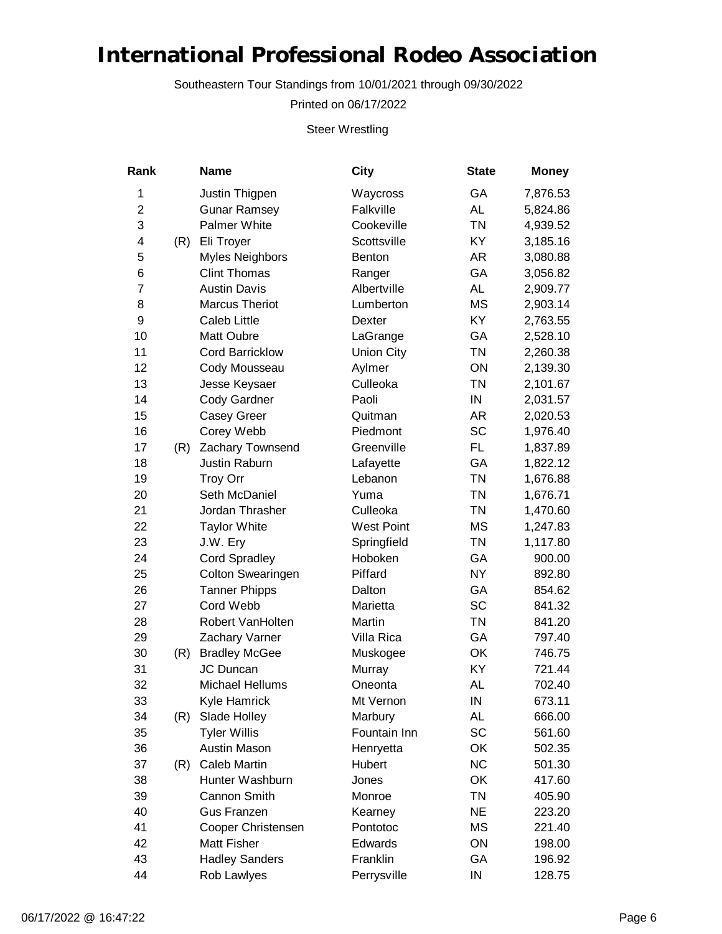Southeastern Tour Standings from 10/01/2021 through 09/30/2022

Printed on 06/17/2022

Steer Wrestling

| Rank           |     | <b>Name</b>              | City              | <b>State</b> | <b>Money</b> |
|----------------|-----|--------------------------|-------------------|--------------|--------------|
| 1              |     | Justin Thigpen           | Waycross          | GA           | 7,876.53     |
| $\overline{2}$ |     | <b>Gunar Ramsey</b>      | Falkville         | <b>AL</b>    | 5,824.86     |
| 3              |     | <b>Palmer White</b>      | Cookeville        | <b>TN</b>    | 4,939.52     |
| 4              | (R) | Eli Troyer               | Scottsville       | KY           | 3,185.16     |
| 5              |     | Myles Neighbors          | Benton            | AR           | 3,080.88     |
| 6              |     | <b>Clint Thomas</b>      | Ranger            | GA           | 3,056.82     |
| $\overline{7}$ |     | <b>Austin Davis</b>      | Albertville       | <b>AL</b>    | 2,909.77     |
| 8              |     | <b>Marcus Theriot</b>    | Lumberton         | <b>MS</b>    | 2,903.14     |
| 9              |     | <b>Caleb Little</b>      | Dexter            | KY           | 2,763.55     |
| 10             |     | Matt Oubre               | LaGrange          | GA           | 2,528.10     |
| 11             |     | <b>Cord Barricklow</b>   | <b>Union City</b> | <b>TN</b>    | 2,260.38     |
| 12             |     | Cody Mousseau            | Aylmer            | ON           | 2,139.30     |
| 13             |     | Jesse Keysaer            | Culleoka          | <b>TN</b>    | 2,101.67     |
| 14             |     | <b>Cody Gardner</b>      | Paoli             | IN           | 2,031.57     |
| 15             |     | <b>Casey Greer</b>       | Quitman           | AR           | 2,020.53     |
| 16             |     | Corey Webb               | Piedmont          | <b>SC</b>    | 1,976.40     |
| 17             | (R) | Zachary Townsend         | Greenville        | FL.          | 1,837.89     |
| 18             |     | <b>Justin Raburn</b>     | Lafayette         | GA           | 1,822.12     |
| 19             |     | <b>Troy Orr</b>          | Lebanon           | <b>TN</b>    | 1,676.88     |
| 20             |     | Seth McDaniel            | Yuma              | <b>TN</b>    | 1,676.71     |
| 21             |     | Jordan Thrasher          | Culleoka          | <b>TN</b>    | 1,470.60     |
| 22             |     | <b>Taylor White</b>      | <b>West Point</b> | <b>MS</b>    | 1,247.83     |
| 23             |     | J.W. Ery                 | Springfield       | <b>TN</b>    | 1,117.80     |
| 24             |     | <b>Cord Spradley</b>     | Hoboken           | GA           | 900.00       |
| 25             |     | <b>Colton Swearingen</b> | Piffard           | <b>NY</b>    | 892.80       |
| 26             |     | <b>Tanner Phipps</b>     | Dalton            | GA           | 854.62       |
| 27             |     | Cord Webb                | Marietta          | SC           | 841.32       |
| 28             |     | Robert VanHolten         | Martin            | <b>TN</b>    | 841.20       |
| 29             |     | Zachary Varner           | Villa Rica        | GA           | 797.40       |
| 30             | (R) | <b>Bradley McGee</b>     | Muskogee          | OK           | 746.75       |
| 31             |     | JC Duncan                | Murray            | KY           | 721.44       |
| 32             |     | Michael Hellums          | Oneonta           | AL           | 702.40       |
| 33             |     | Kyle Hamrick             | Mt Vernon         | IN           | 673.11       |
| 34             | (R) | Slade Holley             | Marbury           | AL           | 666.00       |
| 35             |     | <b>Tyler Willis</b>      | Fountain Inn      | SC           | 561.60       |
| 36             |     | <b>Austin Mason</b>      | Henryetta         | OK           | 502.35       |
| 37             | (R) | <b>Caleb Martin</b>      | Hubert            | <b>NC</b>    | 501.30       |
| 38             |     | Hunter Washburn          | Jones             | OK           | 417.60       |
| 39             |     | Cannon Smith             | Monroe            | <b>TN</b>    | 405.90       |
| 40             |     | <b>Gus Franzen</b>       | Kearney           | <b>NE</b>    | 223.20       |
| 41             |     | Cooper Christensen       | Pontotoc          | <b>MS</b>    | 221.40       |
| 42             |     | <b>Matt Fisher</b>       | Edwards           | ON           | 198.00       |
| 43             |     | <b>Hadley Sanders</b>    | Franklin          | GA           | 196.92       |
| 44             |     | Rob Lawlyes              | Perrysville       | IN           | 128.75       |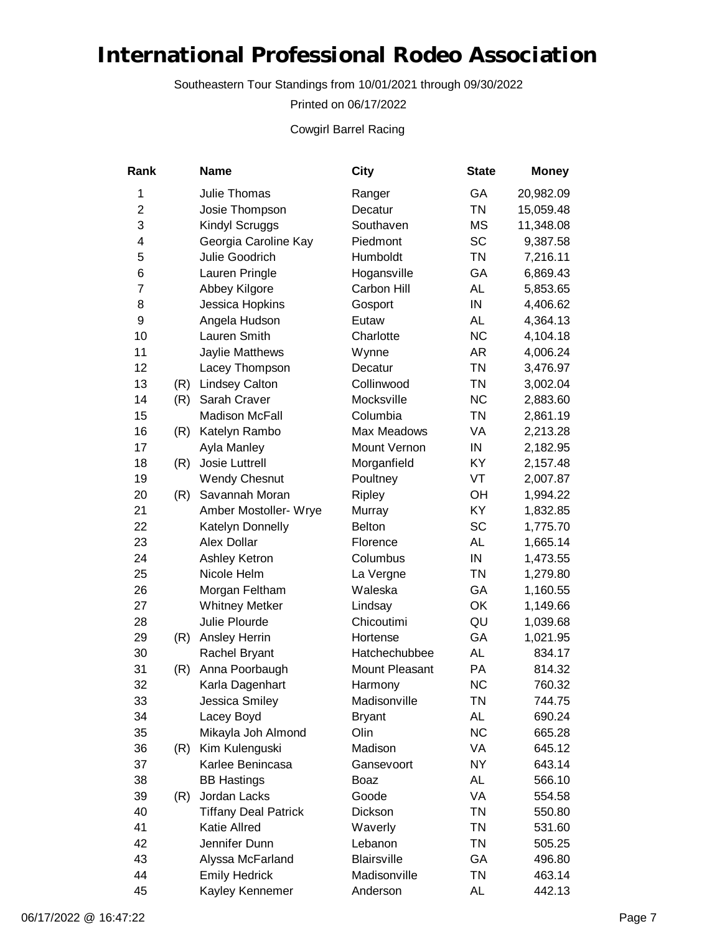Southeastern Tour Standings from 10/01/2021 through 09/30/2022

Printed on 06/17/2022

Cowgirl Barrel Racing

| Rank           |     | <b>Name</b>                 | City               | <b>State</b> | <b>Money</b> |
|----------------|-----|-----------------------------|--------------------|--------------|--------------|
| 1              |     | Julie Thomas                | Ranger             | GA           | 20,982.09    |
| $\overline{2}$ |     | Josie Thompson              | Decatur            | <b>TN</b>    | 15,059.48    |
| 3              |     | Kindyl Scruggs              | Southaven          | <b>MS</b>    | 11,348.08    |
| 4              |     | Georgia Caroline Kay        | Piedmont           | <b>SC</b>    | 9,387.58     |
| 5              |     | Julie Goodrich              | Humboldt           | <b>TN</b>    | 7,216.11     |
| 6              |     | Lauren Pringle              | Hogansville        | GA           | 6,869.43     |
| 7              |     | Abbey Kilgore               | Carbon Hill        | AL           | 5,853.65     |
| 8              |     | Jessica Hopkins             | Gosport            | IN           | 4,406.62     |
| 9              |     | Angela Hudson               | Eutaw              | <b>AL</b>    | 4,364.13     |
| 10             |     | Lauren Smith                | Charlotte          | <b>NC</b>    | 4,104.18     |
| 11             |     | Jaylie Matthews             | Wynne              | AR           | 4,006.24     |
| 12             |     | Lacey Thompson              | Decatur            | <b>TN</b>    | 3,476.97     |
| 13             | (R) | <b>Lindsey Calton</b>       | Collinwood         | <b>TN</b>    | 3,002.04     |
| 14             | (R) | Sarah Craver                | Mocksville         | <b>NC</b>    | 2,883.60     |
| 15             |     | <b>Madison McFall</b>       | Columbia           | <b>TN</b>    | 2,861.19     |
| 16             | (R) | Katelyn Rambo               | Max Meadows        | VA           | 2,213.28     |
| 17             |     | Ayla Manley                 | Mount Vernon       | IN           | 2,182.95     |
| 18             | (R) | Josie Luttrell              | Morganfield        | KY           | 2,157.48     |
| 19             |     | <b>Wendy Chesnut</b>        | Poultney           | VT           | 2,007.87     |
| 20             | (R) | Savannah Moran              | Ripley             | OH           | 1,994.22     |
| 21             |     | Amber Mostoller- Wrye       | Murray             | KY           | 1,832.85     |
| 22             |     | Katelyn Donnelly            | <b>Belton</b>      | <b>SC</b>    | 1,775.70     |
| 23             |     | Alex Dollar                 | Florence           | AL           | 1,665.14     |
| 24             |     | Ashley Ketron               | Columbus           | IN           | 1,473.55     |
| 25             |     | Nicole Helm                 | La Vergne          | <b>TN</b>    | 1,279.80     |
| 26             |     | Morgan Feltham              | Waleska            | GA           | 1,160.55     |
| 27             |     | <b>Whitney Metker</b>       | Lindsay            | OK           | 1,149.66     |
| 28             |     | Julie Plourde               | Chicoutimi         | QU           | 1,039.68     |
| 29             | (R) | Ansley Herrin               | Hortense           | GA           | 1,021.95     |
| 30             |     | Rachel Bryant               | Hatchechubbee      | <b>AL</b>    | 834.17       |
| 31             | (R) | Anna Poorbaugh              | Mount Pleasant     | PA           | 814.32       |
| 32             |     | Karla Dagenhart             | Harmony            | <b>NC</b>    | 760.32       |
| 33             |     | Jessica Smiley              | Madisonville       | <b>TN</b>    | 744.75       |
| 34             |     | Lacey Boyd                  | <b>Bryant</b>      | AL           | 690.24       |
| 35             |     | Mikayla Joh Almond          | Olin               | <b>NC</b>    | 665.28       |
| 36             | (R) | Kim Kulenguski              | Madison            | VA           | 645.12       |
| 37             |     | Karlee Benincasa            | Gansevoort         | <b>NY</b>    | 643.14       |
| 38             |     | <b>BB Hastings</b>          | Boaz               | AL           | 566.10       |
| 39             | (R) | Jordan Lacks                | Goode              | VA           | 554.58       |
| 40             |     | <b>Tiffany Deal Patrick</b> | Dickson            | <b>TN</b>    | 550.80       |
| 41             |     | <b>Katie Allred</b>         | Waverly            | <b>TN</b>    | 531.60       |
| 42             |     | Jennifer Dunn               | Lebanon            | <b>TN</b>    | 505.25       |
| 43             |     | Alyssa McFarland            | <b>Blairsville</b> | GA           | 496.80       |
| 44             |     | <b>Emily Hedrick</b>        | Madisonville       | <b>TN</b>    | 463.14       |
| 45             |     | Kayley Kennemer             | Anderson           | AL           | 442.13       |
|                |     |                             |                    |              |              |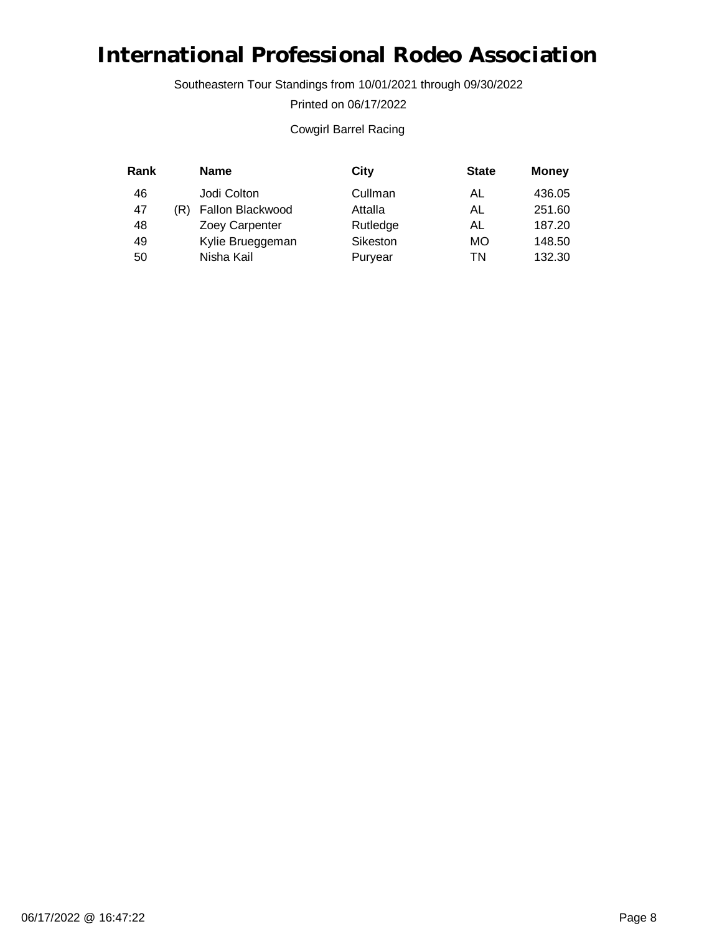Southeastern Tour Standings from 10/01/2021 through 09/30/2022

Printed on 06/17/2022

#### Cowgirl Barrel Racing

| Rank |     | <b>Name</b>      | City     | <b>State</b> | <b>Money</b> |
|------|-----|------------------|----------|--------------|--------------|
| 46   |     | Jodi Colton      | Cullman  | AL           | 436.05       |
| 47   | 'R) | Fallon Blackwood | Attalla  | AL           | 251.60       |
| 48   |     | Zoey Carpenter   | Rutledge | AL           | 187.20       |
| 49   |     | Kylie Brueggeman | Sikeston | МO           | 148.50       |
| 50   |     | Nisha Kail       | Puryear  | TN           | 132.30       |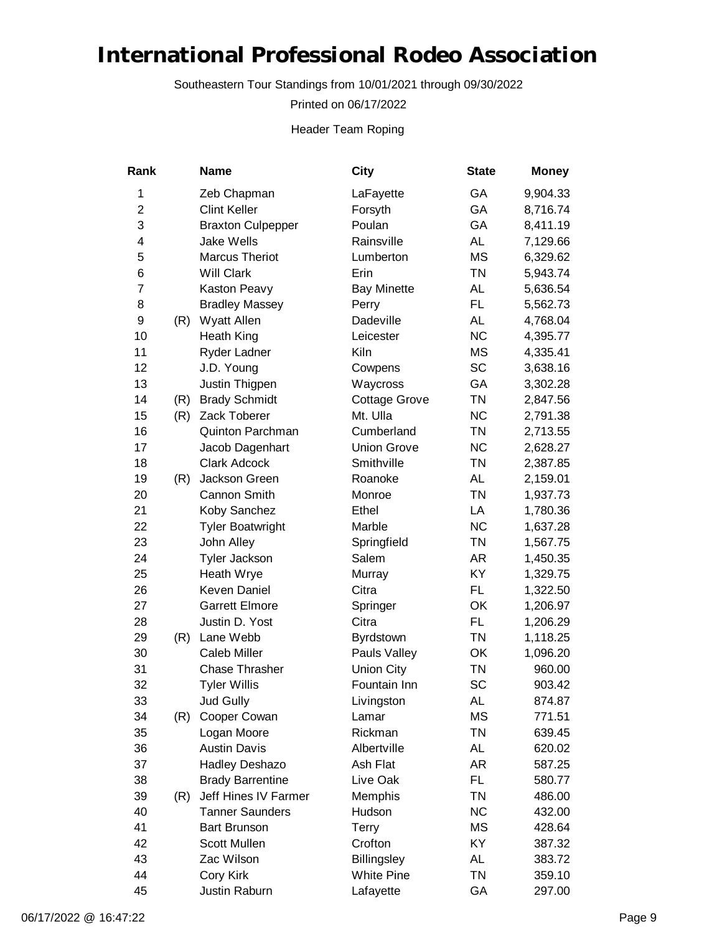Southeastern Tour Standings from 10/01/2021 through 09/30/2022

Printed on 06/17/2022

Header Team Roping

| Rank           |     | <b>Name</b>              | City                 | <b>State</b> | <b>Money</b> |
|----------------|-----|--------------------------|----------------------|--------------|--------------|
| 1              |     | Zeb Chapman              | LaFayette            | GA           | 9,904.33     |
| 2              |     | <b>Clint Keller</b>      | Forsyth              | GA           | 8,716.74     |
| 3              |     | <b>Braxton Culpepper</b> | Poulan               | GA           | 8,411.19     |
| 4              |     | <b>Jake Wells</b>        | Rainsville           | <b>AL</b>    | 7,129.66     |
| 5              |     | <b>Marcus Theriot</b>    | Lumberton            | <b>MS</b>    | 6,329.62     |
| 6              |     | <b>Will Clark</b>        | Erin                 | <b>TN</b>    | 5,943.74     |
| $\overline{7}$ |     | Kaston Peavy             | <b>Bay Minette</b>   | AL           | 5,636.54     |
| 8              |     | <b>Bradley Massey</b>    | Perry                | FL.          | 5,562.73     |
| 9              | (R) | Wyatt Allen              | Dadeville            | AL           | 4,768.04     |
| 10             |     | <b>Heath King</b>        | Leicester            | <b>NC</b>    | 4,395.77     |
| 11             |     | Ryder Ladner             | Kiln                 | <b>MS</b>    | 4,335.41     |
| 12             |     | J.D. Young               | Cowpens              | <b>SC</b>    | 3,638.16     |
| 13             |     | Justin Thigpen           | Waycross             | GA           | 3,302.28     |
| 14             | (R) | <b>Brady Schmidt</b>     | <b>Cottage Grove</b> | <b>TN</b>    | 2,847.56     |
| 15             | (R) | Zack Toberer             | Mt. Ulla             | <b>NC</b>    | 2,791.38     |
| 16             |     | <b>Quinton Parchman</b>  | Cumberland           | <b>TN</b>    | 2,713.55     |
| 17             |     | Jacob Dagenhart          | <b>Union Grove</b>   | <b>NC</b>    | 2,628.27     |
| 18             |     | <b>Clark Adcock</b>      | Smithville           | <b>TN</b>    | 2,387.85     |
| 19             | (R) | Jackson Green            | Roanoke              | AL           | 2,159.01     |
| 20             |     | Cannon Smith             | Monroe               | <b>TN</b>    | 1,937.73     |
| 21             |     | Koby Sanchez             | Ethel                | LA           | 1,780.36     |
| 22             |     | <b>Tyler Boatwright</b>  | Marble               | <b>NC</b>    | 1,637.28     |
| 23             |     | John Alley               | Springfield          | <b>TN</b>    | 1,567.75     |
| 24             |     | <b>Tyler Jackson</b>     | Salem                | AR           | 1,450.35     |
| 25             |     | Heath Wrye               | Murray               | KY           | 1,329.75     |
| 26             |     | Keven Daniel             | Citra                | FL.          | 1,322.50     |
| 27             |     | <b>Garrett Elmore</b>    | Springer             | OK           | 1,206.97     |
| 28             |     | Justin D. Yost           | Citra                | FL.          | 1,206.29     |
| 29             | (R) | Lane Webb                | Byrdstown            | <b>TN</b>    | 1,118.25     |
| 30             |     | Caleb Miller             | Pauls Valley         | OK           | 1,096.20     |
| 31             |     | <b>Chase Thrasher</b>    | <b>Union City</b>    | <b>TN</b>    | 960.00       |
| 32             |     | <b>Tyler Willis</b>      | Fountain Inn         | SC           | 903.42       |
| 33             |     | <b>Jud Gully</b>         | Livingston           | AL           | 874.87       |
| 34             | (R) | Cooper Cowan             | Lamar                | <b>MS</b>    | 771.51       |
| 35             |     | Logan Moore              | Rickman              | <b>TN</b>    | 639.45       |
| 36             |     | <b>Austin Davis</b>      | Albertville          | AL           | 620.02       |
| 37             |     | Hadley Deshazo           | Ash Flat             | AR           | 587.25       |
| 38             |     | <b>Brady Barrentine</b>  | Live Oak             | FL.          | 580.77       |
| 39             | (R) | Jeff Hines IV Farmer     | Memphis              | TN           | 486.00       |
| 40             |     | <b>Tanner Saunders</b>   | Hudson               | <b>NC</b>    | 432.00       |
| 41             |     | <b>Bart Brunson</b>      | Terry                | <b>MS</b>    | 428.64       |
| 42             |     | Scott Mullen             | Crofton              | KY           | 387.32       |
| 43             |     | Zac Wilson               | Billingsley          | AL           | 383.72       |
| 44             |     | Cory Kirk                | <b>White Pine</b>    | <b>TN</b>    | 359.10       |
| 45             |     | Justin Raburn            | Lafayette            | GА           | 297.00       |
|                |     |                          |                      |              |              |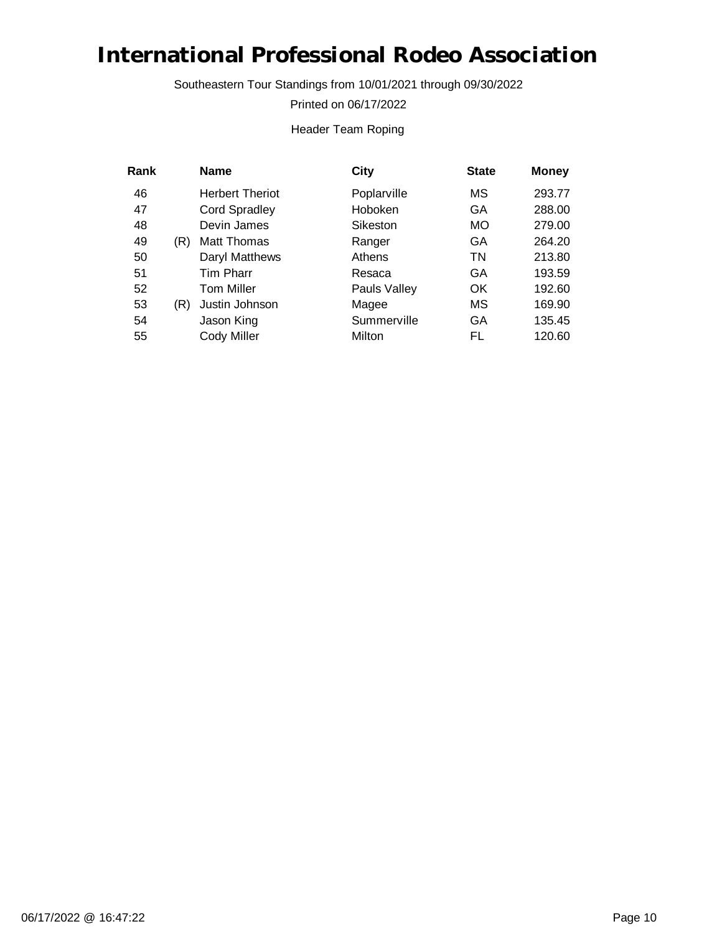Southeastern Tour Standings from 10/01/2021 through 09/30/2022

Printed on 06/17/2022

#### Header Team Roping

| Rank |     | <b>Name</b>            | City         | <b>State</b> | <b>Money</b> |
|------|-----|------------------------|--------------|--------------|--------------|
| 46   |     | <b>Herbert Theriot</b> | Poplarville  | МS           | 293.77       |
| 47   |     | <b>Cord Spradley</b>   | Hoboken      | GA           | 288.00       |
| 48   |     | Devin James            | Sikeston     | <b>MO</b>    | 279.00       |
| 49   | (R) | Matt Thomas            | Ranger       | GA           | 264.20       |
| 50   |     | Daryl Matthews         | Athens       | ΤN           | 213.80       |
| 51   |     | <b>Tim Pharr</b>       | Resaca       | GA           | 193.59       |
| 52   |     | <b>Tom Miller</b>      | Pauls Valley | <b>OK</b>    | 192.60       |
| 53   | (R) | Justin Johnson         | Magee        | МS           | 169.90       |
| 54   |     | Jason King             | Summerville  | GA           | 135.45       |
| 55   |     | Cody Miller            | Milton       | FL           | 120.60       |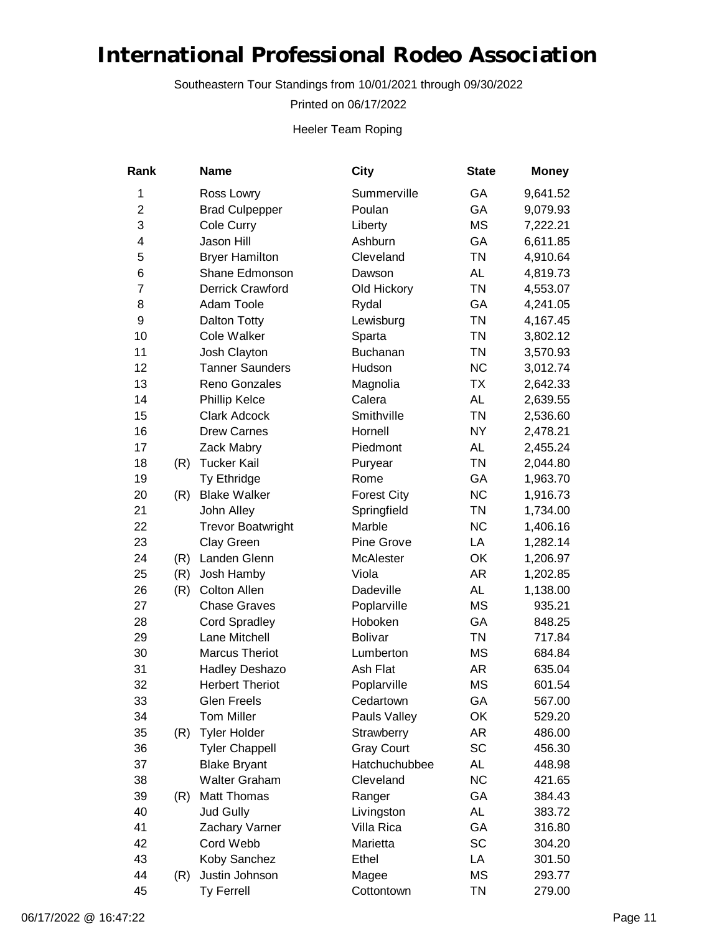Southeastern Tour Standings from 10/01/2021 through 09/30/2022

Printed on 06/17/2022

Heeler Team Roping

| Rank           |     | <b>Name</b>              | City               | <b>State</b> | <b>Money</b> |
|----------------|-----|--------------------------|--------------------|--------------|--------------|
| 1              |     | Ross Lowry               | Summerville        | GA           | 9,641.52     |
| $\overline{2}$ |     | <b>Brad Culpepper</b>    | Poulan             | GA           | 9,079.93     |
| 3              |     | Cole Curry               | Liberty            | <b>MS</b>    | 7,222.21     |
| 4              |     | Jason Hill               | Ashburn            | GA           | 6,611.85     |
| 5              |     | <b>Bryer Hamilton</b>    | Cleveland          | <b>TN</b>    | 4,910.64     |
| 6              |     | Shane Edmonson           | Dawson             | AL           | 4,819.73     |
| $\overline{7}$ |     | Derrick Crawford         | Old Hickory        | <b>TN</b>    | 4,553.07     |
| 8              |     | Adam Toole               | Rydal              | GA           | 4,241.05     |
| 9              |     | Dalton Totty             | Lewisburg          | <b>TN</b>    | 4,167.45     |
| 10             |     | <b>Cole Walker</b>       | Sparta             | <b>TN</b>    | 3,802.12     |
| 11             |     | Josh Clayton             | Buchanan           | <b>TN</b>    | 3,570.93     |
| 12             |     | <b>Tanner Saunders</b>   | Hudson             | <b>NC</b>    | 3,012.74     |
| 13             |     | Reno Gonzales            | Magnolia           | <b>TX</b>    | 2,642.33     |
| 14             |     | Phillip Kelce            | Calera             | <b>AL</b>    | 2,639.55     |
| 15             |     | <b>Clark Adcock</b>      | Smithville         | <b>TN</b>    | 2,536.60     |
| 16             |     | <b>Drew Carnes</b>       | Hornell            | NY           | 2,478.21     |
| 17             |     | Zack Mabry               | Piedmont           | AL           | 2,455.24     |
| 18             | (R) | <b>Tucker Kail</b>       | Puryear            | <b>TN</b>    | 2,044.80     |
| 19             |     | Ty Ethridge              | Rome               | GA           | 1,963.70     |
| 20             | (R) | <b>Blake Walker</b>      | <b>Forest City</b> | <b>NC</b>    | 1,916.73     |
| 21             |     | John Alley               | Springfield        | <b>TN</b>    | 1,734.00     |
| 22             |     | <b>Trevor Boatwright</b> | Marble             | <b>NC</b>    | 1,406.16     |
| 23             |     | Clay Green               | Pine Grove         | LA           | 1,282.14     |
| 24             | (R) | Landen Glenn             | McAlester          | OK           | 1,206.97     |
| 25             | (R) | Josh Hamby               | Viola              | AR           | 1,202.85     |
| 26             | (R) | Colton Allen             | Dadeville          | <b>AL</b>    | 1,138.00     |
| 27             |     | <b>Chase Graves</b>      | Poplarville        | MS           | 935.21       |
| 28             |     | <b>Cord Spradley</b>     | Hoboken            | GA           | 848.25       |
| 29             |     | Lane Mitchell            | <b>Bolivar</b>     | <b>TN</b>    | 717.84       |
| 30             |     | <b>Marcus Theriot</b>    | Lumberton          | <b>MS</b>    | 684.84       |
| 31             |     | Hadley Deshazo           | Ash Flat           | AR           | 635.04       |
| 32             |     | <b>Herbert Theriot</b>   | Poplarville        | <b>MS</b>    | 601.54       |
| 33             |     | <b>Glen Freels</b>       | Cedartown          | GA           | 567.00       |
| 34             |     | <b>Tom Miller</b>        | Pauls Valley       | OK           | 529.20       |
| 35             | (R) | <b>Tyler Holder</b>      | Strawberry         | AR           | 486.00       |
| 36             |     | <b>Tyler Chappell</b>    | <b>Gray Court</b>  | SC           | 456.30       |
| 37             |     | <b>Blake Bryant</b>      | Hatchuchubbee      | AL           | 448.98       |
| 38             |     | <b>Walter Graham</b>     | Cleveland          | <b>NC</b>    | 421.65       |
| 39             | (R) | Matt Thomas              | Ranger             | GA           | 384.43       |
| 40             |     | <b>Jud Gully</b>         | Livingston         | AL           | 383.72       |
| 41             |     | Zachary Varner           | Villa Rica         | GA           | 316.80       |
| 42             |     | Cord Webb                | Marietta           | <b>SC</b>    | 304.20       |
| 43             |     | Koby Sanchez             | Ethel              | LA           | 301.50       |
| 44             | (R) | Justin Johnson           | Magee              | MS           | 293.77       |
| 45             |     | Ty Ferrell               | Cottontown         | TN           | 279.00       |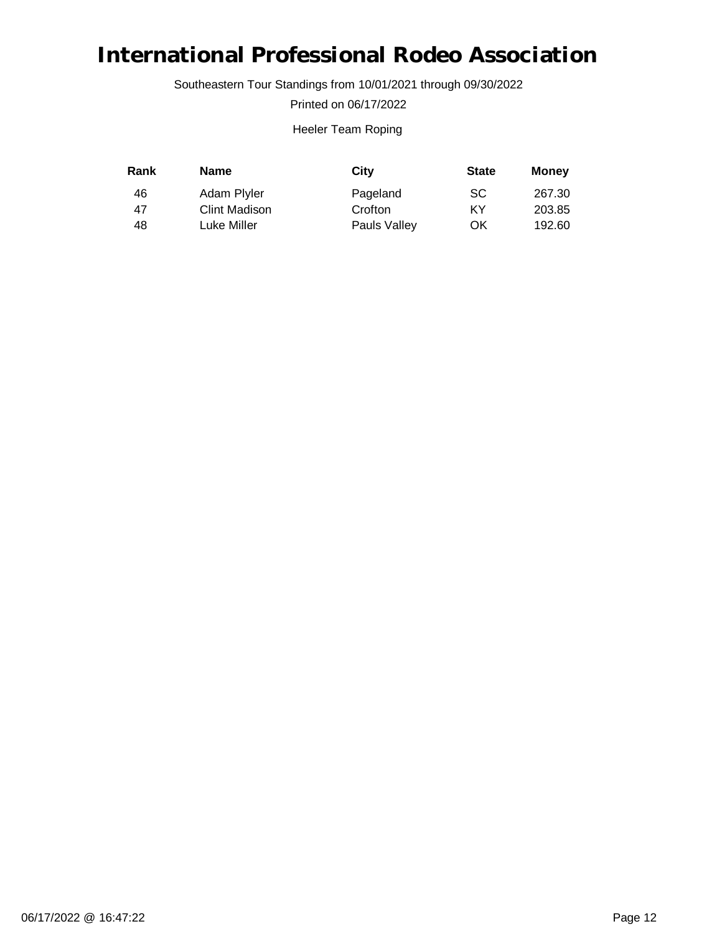Southeastern Tour Standings from 10/01/2021 through 09/30/2022

Printed on 06/17/2022

#### Heeler Team Roping

| Rank | <b>Name</b>          | City         | <b>State</b> | Money  |
|------|----------------------|--------------|--------------|--------|
| 46   | Adam Plyler          | Pageland     | <b>SC</b>    | 267.30 |
| 47   | <b>Clint Madison</b> | Crofton      | ΚY           | 203.85 |
| 48   | Luke Miller          | Pauls Valley | OK           | 192.60 |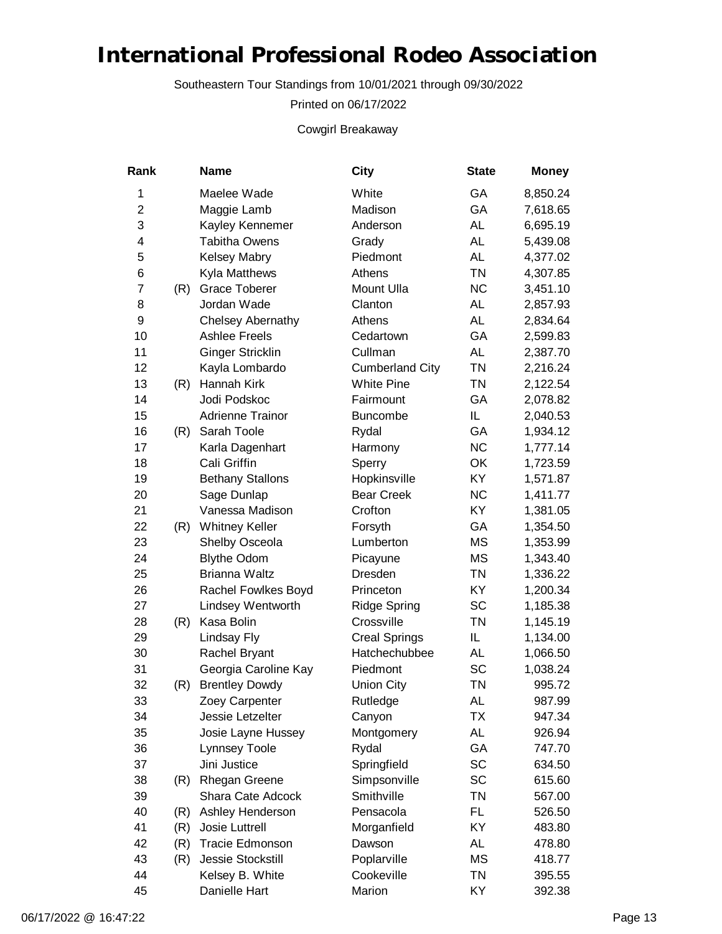Southeastern Tour Standings from 10/01/2021 through 09/30/2022

Printed on 06/17/2022

Cowgirl Breakaway

| Rank           |     | <b>Name</b>             | City                   | <b>State</b> | <b>Money</b> |
|----------------|-----|-------------------------|------------------------|--------------|--------------|
| 1              |     | Maelee Wade             | White                  | GA           | 8,850.24     |
| $\overline{2}$ |     | Maggie Lamb             | Madison                | GA           | 7,618.65     |
| 3              |     | Kayley Kennemer         | Anderson               | <b>AL</b>    | 6,695.19     |
| 4              |     | <b>Tabitha Owens</b>    | Grady                  | <b>AL</b>    | 5,439.08     |
| 5              |     | <b>Kelsey Mabry</b>     | Piedmont               | <b>AL</b>    | 4,377.02     |
| 6              |     | Kyla Matthews           | Athens                 | <b>TN</b>    | 4,307.85     |
| $\overline{7}$ | (R) | <b>Grace Toberer</b>    | Mount Ulla             | <b>NC</b>    | 3,451.10     |
| 8              |     | Jordan Wade             | Clanton                | AL           | 2,857.93     |
| 9              |     | Chelsey Abernathy       | Athens                 | <b>AL</b>    | 2,834.64     |
| 10             |     | <b>Ashlee Freels</b>    | Cedartown              | GA           | 2,599.83     |
| 11             |     | <b>Ginger Stricklin</b> | Cullman                | <b>AL</b>    | 2,387.70     |
| 12             |     | Kayla Lombardo          | <b>Cumberland City</b> | <b>TN</b>    | 2,216.24     |
| 13             | (R) | Hannah Kirk             | <b>White Pine</b>      | <b>TN</b>    | 2,122.54     |
| 14             |     | Jodi Podskoc            | Fairmount              | GA           | 2,078.82     |
| 15             |     | <b>Adrienne Trainor</b> | <b>Buncombe</b>        | IL           | 2,040.53     |
| 16             | (R) | Sarah Toole             | Rydal                  | GA           | 1,934.12     |
| 17             |     | Karla Dagenhart         | Harmony                | <b>NC</b>    | 1,777.14     |
| 18             |     | Cali Griffin            | Sperry                 | OK           | 1,723.59     |
| 19             |     | <b>Bethany Stallons</b> | Hopkinsville           | KY           | 1,571.87     |
| 20             |     | Sage Dunlap             | <b>Bear Creek</b>      | <b>NC</b>    | 1,411.77     |
| 21             |     | Vanessa Madison         | Crofton                | KY           | 1,381.05     |
| 22             | (R) | <b>Whitney Keller</b>   | Forsyth                | GA           | 1,354.50     |
| 23             |     | Shelby Osceola          | Lumberton              | <b>MS</b>    | 1,353.99     |
| 24             |     | <b>Blythe Odom</b>      | Picayune               | <b>MS</b>    | 1,343.40     |
| 25             |     | Brianna Waltz           | Dresden                | <b>TN</b>    | 1,336.22     |
| 26             |     | Rachel Fowlkes Boyd     | Princeton              | KY           | 1,200.34     |
| 27             |     | Lindsey Wentworth       | <b>Ridge Spring</b>    | SC           | 1,185.38     |
| 28             | (R) | Kasa Bolin              | Crossville             | <b>TN</b>    | 1,145.19     |
| 29             |     | Lindsay Fly             | <b>Creal Springs</b>   | IL.          | 1,134.00     |
| 30             |     | Rachel Bryant           | Hatchechubbee          | AL           | 1,066.50     |
| 31             |     | Georgia Caroline Kay    | Piedmont               | <b>SC</b>    | 1,038.24     |
| 32             | (R) | <b>Brentley Dowdy</b>   | <b>Union City</b>      | <b>TN</b>    | 995.72       |
| 33             |     | Zoey Carpenter          | Rutledge               | AL           | 987.99       |
| 34             |     | Jessie Letzelter        | Canyon                 | <b>TX</b>    | 947.34       |
| 35             |     | Josie Layne Hussey      | Montgomery             | AL           | 926.94       |
| 36             |     | Lynnsey Toole           | Rydal                  | GA           | 747.70       |
| 37             |     | Jini Justice            | Springfield            | <b>SC</b>    | 634.50       |
| 38             | (R) | <b>Rhegan Greene</b>    | Simpsonville           | SC           | 615.60       |
| 39             |     | Shara Cate Adcock       | Smithville             | <b>TN</b>    | 567.00       |
| 40             | (R) | Ashley Henderson        | Pensacola              | FL           | 526.50       |
| 41             | (R) | Josie Luttrell          | Morganfield            | KY           | 483.80       |
| 42             | (R) | <b>Tracie Edmonson</b>  | Dawson                 | AL           | 478.80       |
| 43             | (R) | Jessie Stockstill       | Poplarville            | <b>MS</b>    | 418.77       |
| 44             |     | Kelsey B. White         | Cookeville             | <b>TN</b>    | 395.55       |
| 45             |     | Danielle Hart           | Marion                 | KY           | 392.38       |